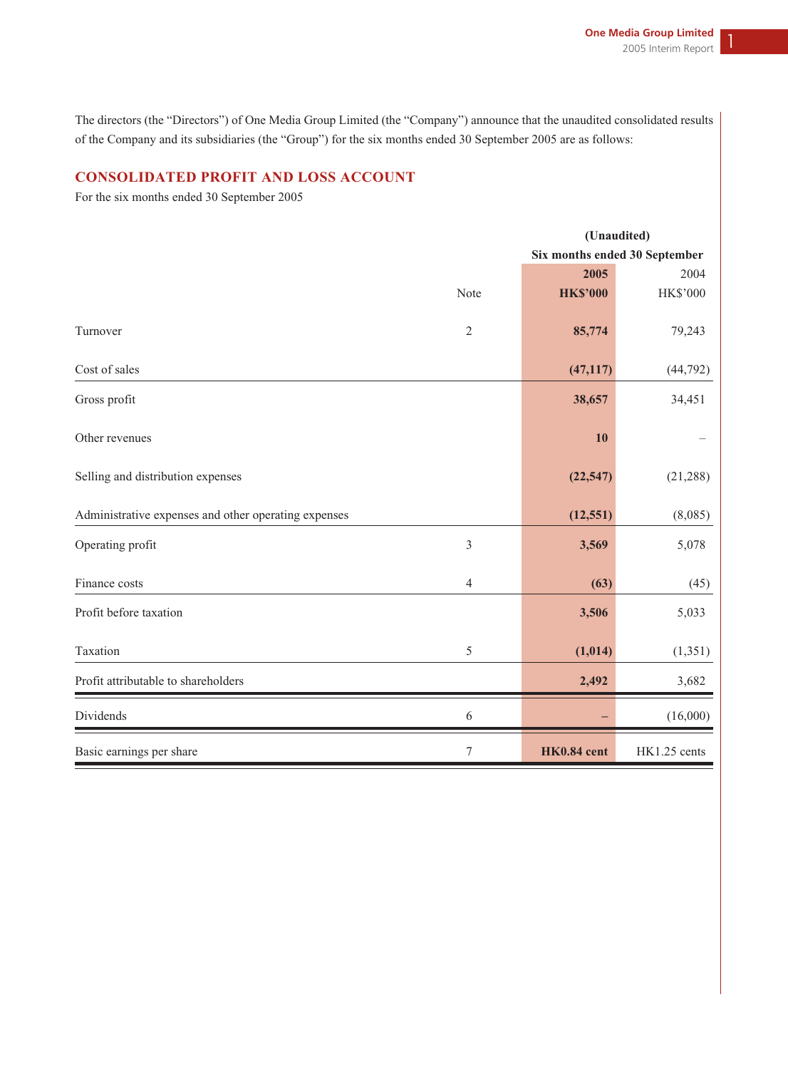The directors (the "Directors") of One Media Group Limited (the "Company") announce that the unaudited consolidated results of the Company and its subsidiaries (the "Group") for the six months ended 30 September 2005 are as follows:

# **CONSOLIDATED PROFIT AND LOSS ACCOUNT**

For the six months ended 30 September 2005

|                                                      |                  |                 | (Unaudited)                   |
|------------------------------------------------------|------------------|-----------------|-------------------------------|
|                                                      |                  |                 | Six months ended 30 September |
|                                                      |                  | 2005            | 2004                          |
|                                                      | Note             | <b>HK\$'000</b> | <b>HK\$'000</b>               |
| Turnover                                             | $\sqrt{2}$       | 85,774          | 79,243                        |
| Cost of sales                                        |                  | (47, 117)       | (44, 792)                     |
| Gross profit                                         |                  | 38,657          | 34,451                        |
| Other revenues                                       |                  | <b>10</b>       |                               |
| Selling and distribution expenses                    |                  | (22, 547)       | (21, 288)                     |
| Administrative expenses and other operating expenses |                  | (12, 551)       | (8,085)                       |
| Operating profit                                     | $\mathfrak{Z}$   | 3,569           | 5,078                         |
| Finance costs                                        | $\overline{4}$   | (63)            | (45)                          |
| Profit before taxation                               |                  | 3,506           | 5,033                         |
| Taxation                                             | $\sqrt{5}$       | (1,014)         | (1, 351)                      |
| Profit attributable to shareholders                  |                  | 2,492           | 3,682                         |
| Dividends                                            | $\sqrt{6}$       |                 | (16,000)                      |
| Basic earnings per share                             | $\boldsymbol{7}$ | HK0.84 cent     | HK1.25 cents                  |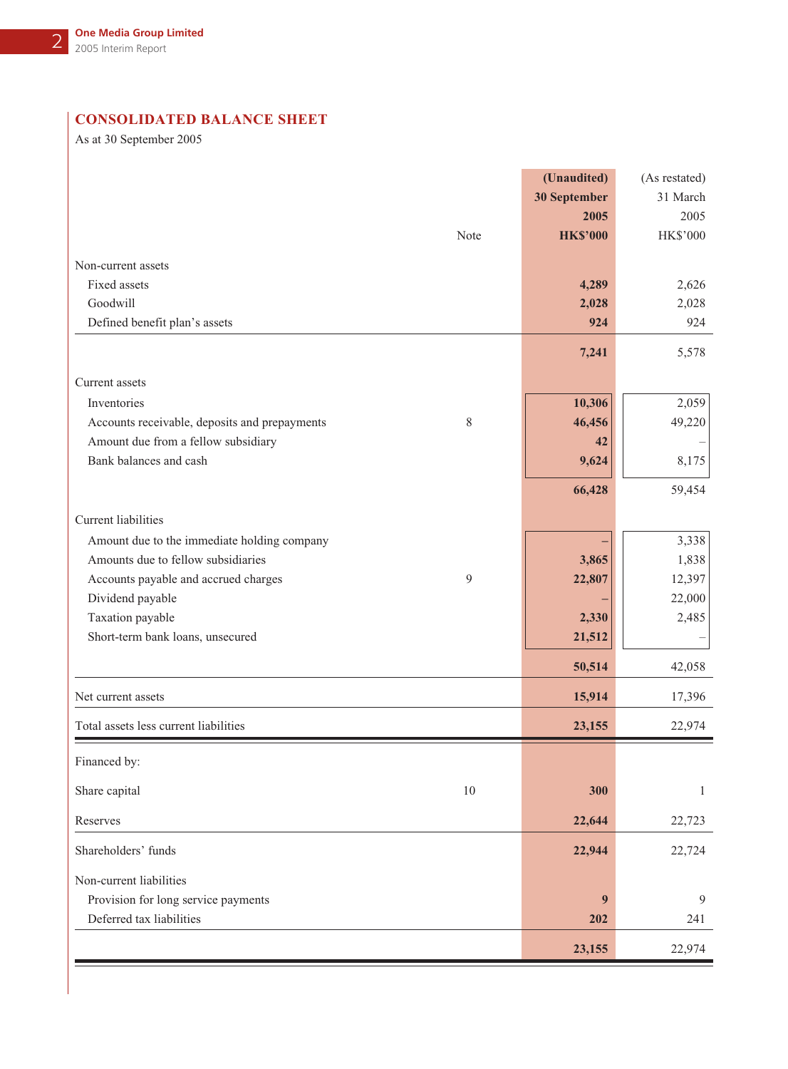# **CONSOLIDATED BALANCE SHEET**

As at 30 September 2005

|                                                    | (Unaudited)     | (As restated) |
|----------------------------------------------------|-----------------|---------------|
|                                                    | 30 September    | 31 March      |
|                                                    | 2005            | 2005          |
| Note                                               | <b>HK\$'000</b> | HK\$'000      |
| Non-current assets                                 |                 |               |
| Fixed assets                                       | 4,289           | 2,626         |
| Goodwill                                           | 2,028           | 2,028         |
| Defined benefit plan's assets                      | 924             | 924           |
|                                                    | 7,241           | 5,578         |
| Current assets                                     |                 |               |
| Inventories                                        | 10,306          | 2,059         |
| 8<br>Accounts receivable, deposits and prepayments | 46,456          | 49,220        |
| Amount due from a fellow subsidiary                | 42              |               |
| Bank balances and cash                             | 9,624           | 8,175         |
|                                                    | 66,428          | 59,454        |
| Current liabilities                                |                 |               |
| Amount due to the immediate holding company        |                 | 3,338         |
| Amounts due to fellow subsidiaries                 | 3,865           | 1,838         |
| 9<br>Accounts payable and accrued charges          | 22,807          | 12,397        |
| Dividend payable                                   |                 | 22,000        |
| Taxation payable                                   | 2,330           | 2,485         |
| Short-term bank loans, unsecured                   | 21,512          |               |
|                                                    | 50,514          | 42,058        |
|                                                    |                 |               |
| Net current assets                                 | 15,914          | 17,396        |
| Total assets less current liabilities              | 23,155          | 22,974        |
| Financed by:                                       |                 |               |
| 10<br>Share capital                                | 300             | 1             |
| Reserves                                           | 22,644          | 22,723        |
| Shareholders' funds                                | 22,944          | 22,724        |
| Non-current liabilities                            |                 |               |
| Provision for long service payments                | 9               | 9             |
| Deferred tax liabilities                           | 202             | 241           |
|                                                    | 23,155          | 22,974        |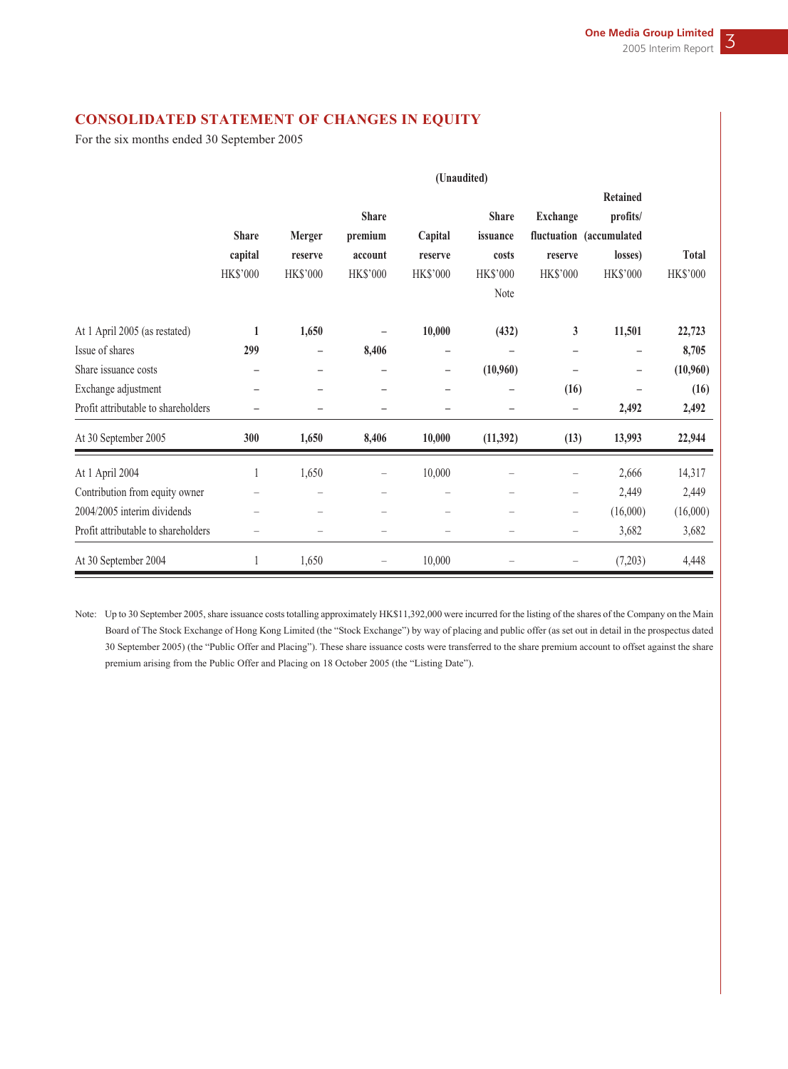# **CONSOLIDATED STATEMENT OF CHANGES IN EQUITY**

For the six months ended 30 September 2005

|                                     |                          |                                                                           |                          | (Unaudited)              |                          |                                                                           |                          |                 |
|-------------------------------------|--------------------------|---------------------------------------------------------------------------|--------------------------|--------------------------|--------------------------|---------------------------------------------------------------------------|--------------------------|-----------------|
|                                     |                          |                                                                           |                          |                          |                          |                                                                           | <b>Retained</b>          |                 |
|                                     |                          |                                                                           | <b>Share</b>             |                          | <b>Share</b>             | <b>Exchange</b>                                                           | profits/                 |                 |
|                                     | <b>Share</b>             | <b>Merger</b>                                                             | premium                  | Capital                  | issuance                 |                                                                           | fluctuation (accumulated |                 |
|                                     | capital                  | reserve                                                                   | account                  | reserve                  | costs                    | reserve                                                                   | losses)                  | <b>Total</b>    |
|                                     | <b>HK\$'000</b>          | <b>HK\$'000</b>                                                           | <b>HK\$'000</b>          | <b>HK\$'000</b>          | <b>HK\$'000</b>          | <b>HK\$'000</b>                                                           | <b>HK\$'000</b>          | <b>HK\$'000</b> |
|                                     |                          |                                                                           |                          |                          | Note                     |                                                                           |                          |                 |
| At 1 April 2005 (as restated)       | $\mathbf{1}$             | 1,650                                                                     |                          | 10,000                   | (432)                    | 3                                                                         | 11,501                   | 22,723          |
| Issue of shares                     | 299                      | -                                                                         | 8,406                    | $\overline{\phantom{m}}$ |                          | $\overline{\phantom{0}}$                                                  | -                        | 8,705           |
| Share issuance costs                |                          | -                                                                         |                          | $\qquad \qquad -$        | (10,960)                 |                                                                           | -                        | (10,960)        |
| Exchange adjustment                 | -                        | $\overline{\phantom{0}}$                                                  | -                        | $\overline{\phantom{0}}$ | -                        | (16)                                                                      |                          | (16)            |
| Profit attributable to shareholders |                          |                                                                           | -                        |                          | -                        | $\qquad \qquad -$                                                         | 2,492                    | 2,492           |
| At 30 September 2005                | 300                      | 1,650                                                                     | 8,406                    | 10,000                   | (11,392)                 | (13)                                                                      | 13,993                   | 22,944          |
| At 1 April 2004                     | 1                        | 1,650                                                                     | $\overline{\phantom{0}}$ | 10,000                   |                          |                                                                           | 2,666                    | 14,317          |
| Contribution from equity owner      |                          | $\overline{\phantom{m}}$                                                  | -                        | $\overline{\phantom{0}}$ | $\overline{\phantom{0}}$ | $\overline{\phantom{0}}$                                                  | 2,449                    | 2,449           |
| 2004/2005 interim dividends         | $\overline{\phantom{0}}$ | $\hspace{1.0cm} \rule{1.5cm}{0.15cm} \hspace{1.0cm} \rule{1.5cm}{0.15cm}$ | $\qquad \qquad -$        | $\overline{\phantom{0}}$ | $\overline{\phantom{0}}$ | $\hspace{1.0cm} \rule{1.5cm}{0.15cm} \hspace{1.0cm} \rule{1.5cm}{0.15cm}$ | (16,000)                 | (16,000)        |
| Profit attributable to shareholders | $\overline{\phantom{0}}$ | -                                                                         | $\overline{\phantom{0}}$ | $\overline{\phantom{0}}$ | $\overline{\phantom{0}}$ | $\overline{\phantom{0}}$                                                  | 3,682                    | 3,682           |
| At 30 September 2004                | 1                        | 1,650                                                                     | -                        | 10,000                   |                          | -                                                                         | (7,203)                  | 4,448           |

Note: Up to 30 September 2005, share issuance costs totalling approximately HK\$11,392,000 were incurred for the listing of the shares of the Company on the Main Board of The Stock Exchange of Hong Kong Limited (the "Stock Exchange") by way of placing and public offer (as set out in detail in the prospectus dated 30 September 2005) (the "Public Offer and Placing"). These share issuance costs were transferred to the share premium account to offset against the share premium arising from the Public Offer and Placing on 18 October 2005 (the "Listing Date").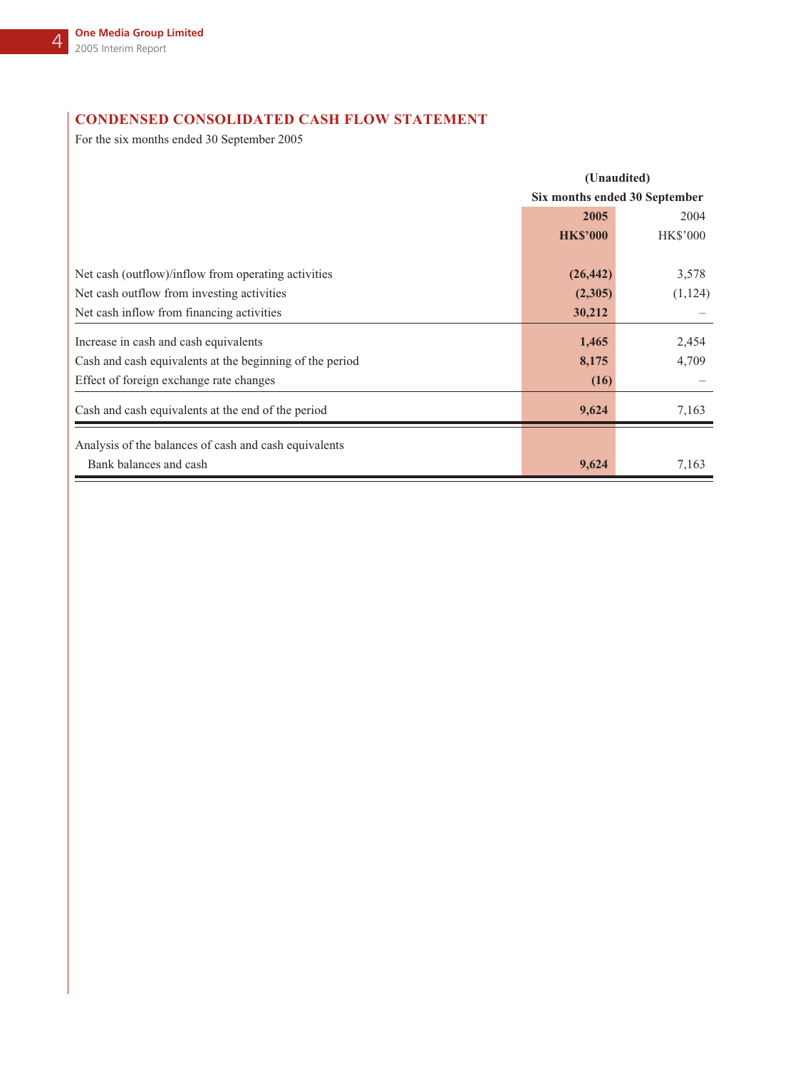# **CONDENSED CONSOLIDATED CASH FLOW STATEMENT**

For the six months ended 30 September 2005

|                                                          |                 | (Unaudited)                   |
|----------------------------------------------------------|-----------------|-------------------------------|
|                                                          |                 | Six months ended 30 September |
|                                                          | 2005            | 2004                          |
|                                                          | <b>HK\$'000</b> | <b>HK\$'000</b>               |
|                                                          |                 |                               |
| Net cash (outflow)/inflow from operating activities      | (26, 442)       | 3,578                         |
| Net cash outflow from investing activities               | (2,305)         | (1, 124)                      |
| Net cash inflow from financing activities                | 30,212          |                               |
| Increase in cash and cash equivalents                    | 1,465           | 2,454                         |
| Cash and cash equivalents at the beginning of the period | 8,175           | 4,709                         |
| Effect of foreign exchange rate changes                  | (16)            |                               |
| Cash and cash equivalents at the end of the period       | 9,624           | 7,163                         |
| Analysis of the balances of cash and cash equivalents    |                 |                               |
| Bank balances and cash                                   | 9,624           | 7,163                         |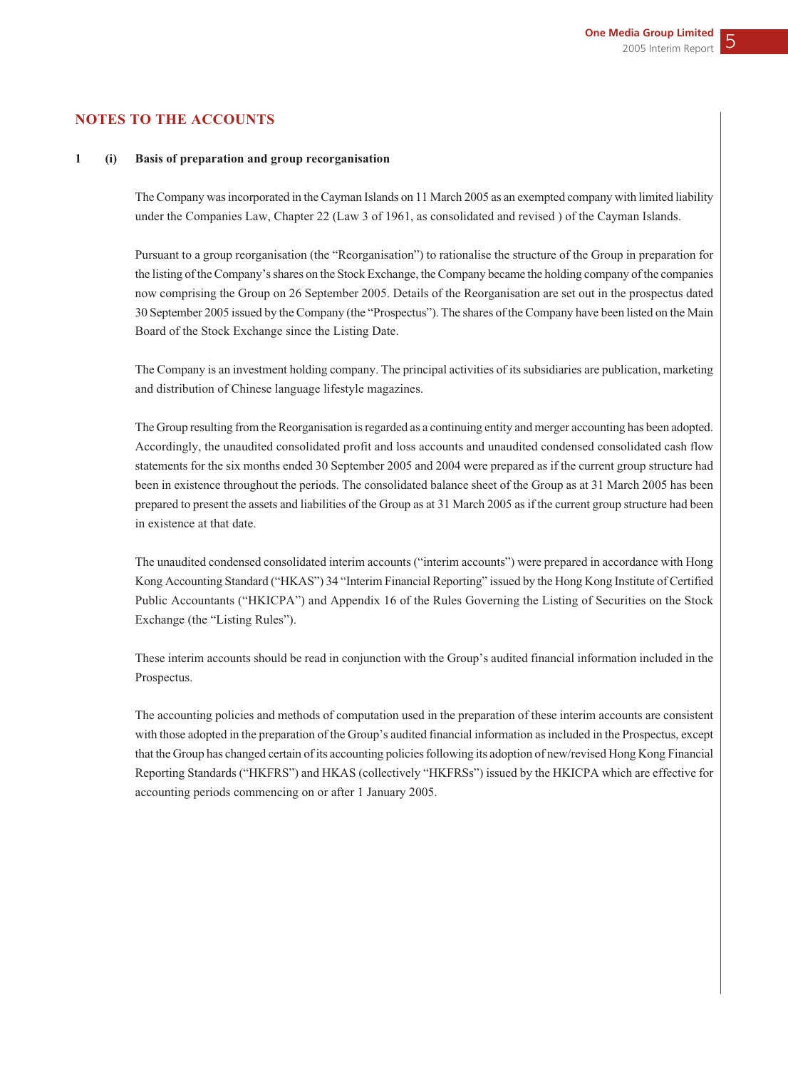## **NOTES TO THE ACCOUNTS**

#### **1 (i) Basis of preparation and group recorganisation**

The Company was incorporated in the Cayman Islands on 11 March 2005 as an exempted company with limited liability under the Companies Law, Chapter 22 (Law 3 of 1961, as consolidated and revised ) of the Cayman Islands.

Pursuant to a group reorganisation (the "Reorganisation") to rationalise the structure of the Group in preparation for the listing of the Company's shares on the Stock Exchange, the Company became the holding company of the companies now comprising the Group on 26 September 2005. Details of the Reorganisation are set out in the prospectus dated 30 September 2005 issued by the Company (the "Prospectus"). The shares of the Company have been listed on the Main Board of the Stock Exchange since the Listing Date.

The Company is an investment holding company. The principal activities of its subsidiaries are publication, marketing and distribution of Chinese language lifestyle magazines.

The Group resulting from the Reorganisation is regarded as a continuing entity and merger accounting has been adopted. Accordingly, the unaudited consolidated profit and loss accounts and unaudited condensed consolidated cash flow statements for the six months ended 30 September 2005 and 2004 were prepared as if the current group structure had been in existence throughout the periods. The consolidated balance sheet of the Group as at 31 March 2005 has been prepared to present the assets and liabilities of the Group as at 31 March 2005 as if the current group structure had been in existence at that date.

The unaudited condensed consolidated interim accounts ("interim accounts") were prepared in accordance with Hong Kong Accounting Standard ("HKAS") 34 "Interim Financial Reporting" issued by the Hong Kong Institute of Certified Public Accountants ("HKICPA") and Appendix 16 of the Rules Governing the Listing of Securities on the Stock Exchange (the "Listing Rules").

These interim accounts should be read in conjunction with the Group's audited financial information included in the Prospectus.

The accounting policies and methods of computation used in the preparation of these interim accounts are consistent with those adopted in the preparation of the Group's audited financial information as included in the Prospectus, except that the Group has changed certain of its accounting policies following its adoption of new/revised Hong Kong Financial Reporting Standards ("HKFRS") and HKAS (collectively "HKFRSs") issued by the HKICPA which are effective for accounting periods commencing on or after 1 January 2005.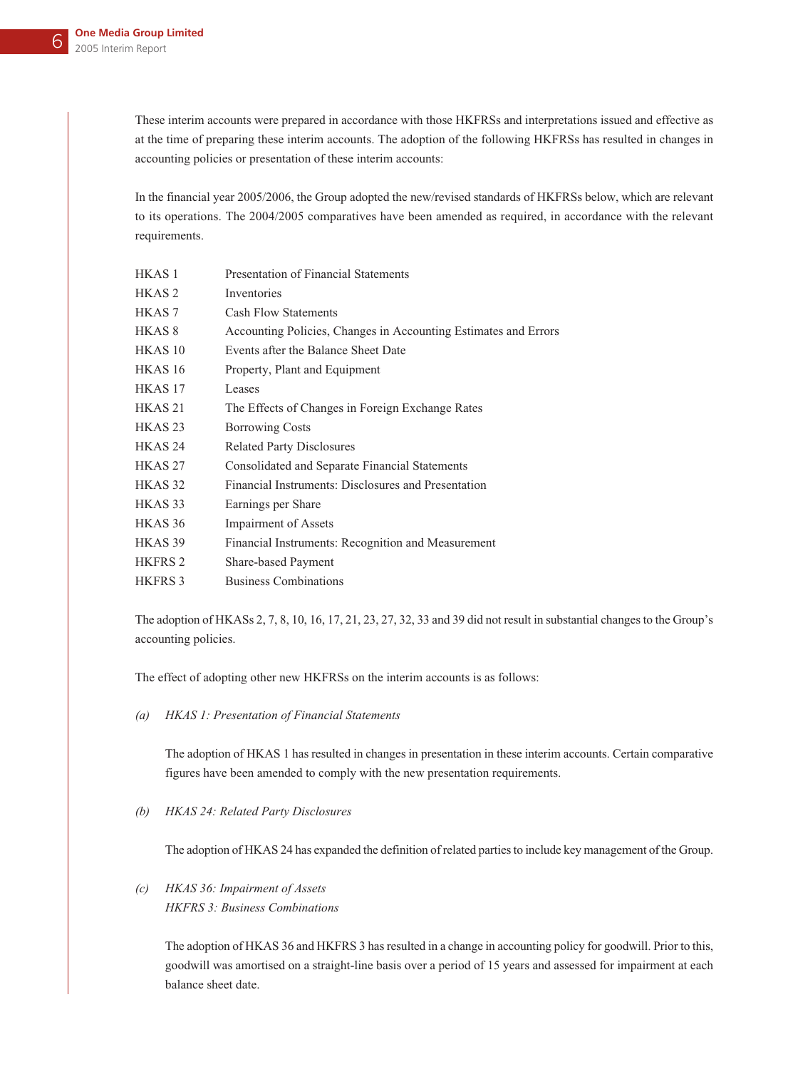These interim accounts were prepared in accordance with those HKFRSs and interpretations issued and effective as at the time of preparing these interim accounts. The adoption of the following HKFRSs has resulted in changes in accounting policies or presentation of these interim accounts:

In the financial year 2005/2006, the Group adopted the new/revised standards of HKFRSs below, which are relevant to its operations. The 2004/2005 comparatives have been amended as required, in accordance with the relevant requirements.

| HKAS <sub>1</sub>  | Presentation of Financial Statements                            |
|--------------------|-----------------------------------------------------------------|
| HKAS <sub>2</sub>  | Inventories                                                     |
| HKAS <sub>7</sub>  | <b>Cash Flow Statements</b>                                     |
| HKAS 8             | Accounting Policies, Changes in Accounting Estimates and Errors |
| HKAS <sub>10</sub> | Events after the Balance Sheet Date                             |
| HKAS <sub>16</sub> | Property, Plant and Equipment                                   |
| HKAS <sub>17</sub> | Leases                                                          |
| HKAS <sub>21</sub> | The Effects of Changes in Foreign Exchange Rates                |
| HKAS <sub>23</sub> | <b>Borrowing Costs</b>                                          |
| HKAS <sub>24</sub> | <b>Related Party Disclosures</b>                                |
| HKAS <sub>27</sub> | Consolidated and Separate Financial Statements                  |
| HKAS <sub>32</sub> | Financial Instruments: Disclosures and Presentation             |
| HKAS <sub>33</sub> | Earnings per Share                                              |
| HKAS <sub>36</sub> | <b>Impairment of Assets</b>                                     |
| HKAS 39            | Financial Instruments: Recognition and Measurement              |
| <b>HKFRS 2</b>     | Share-based Payment                                             |
| <b>HKFRS3</b>      | <b>Business Combinations</b>                                    |
|                    |                                                                 |

The adoption of HKASs 2, 7, 8, 10, 16, 17, 21, 23, 27, 32, 33 and 39 did not result in substantial changes to the Group's accounting policies.

The effect of adopting other new HKFRSs on the interim accounts is as follows:

*(a) HKAS 1: Presentation of Financial Statements*

The adoption of HKAS 1 has resulted in changes in presentation in these interim accounts. Certain comparative figures have been amended to comply with the new presentation requirements.

## *(b) HKAS 24: Related Party Disclosures*

The adoption of HKAS 24 has expanded the definition of related parties to include key management of the Group.

*(c) HKAS 36: Impairment of Assets HKFRS 3: Business Combinations*

> The adoption of HKAS 36 and HKFRS 3 has resulted in a change in accounting policy for goodwill. Prior to this, goodwill was amortised on a straight-line basis over a period of 15 years and assessed for impairment at each balance sheet date.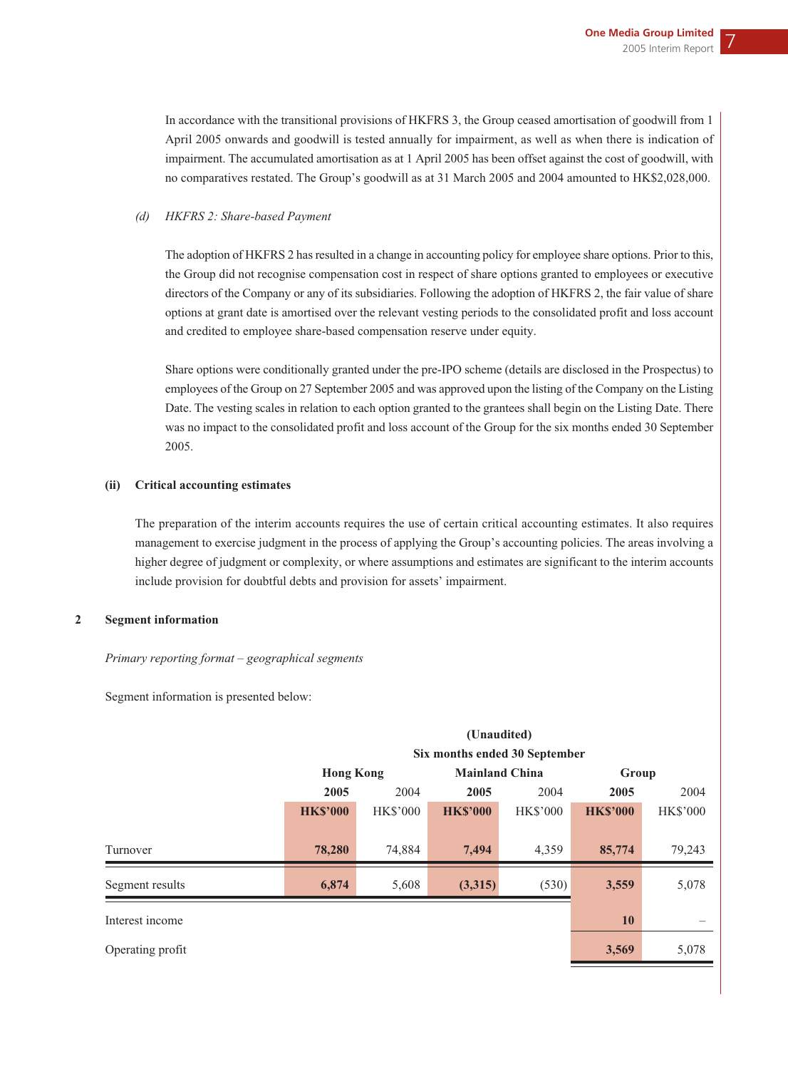In accordance with the transitional provisions of HKFRS 3, the Group ceased amortisation of goodwill from 1 April 2005 onwards and goodwill is tested annually for impairment, as well as when there is indication of impairment. The accumulated amortisation as at 1 April 2005 has been offset against the cost of goodwill, with no comparatives restated. The Group's goodwill as at 31 March 2005 and 2004 amounted to HK\$2,028,000.

### *(d) HKFRS 2: Share-based Payment*

The adoption of HKFRS 2 has resulted in a change in accounting policy for employee share options. Prior to this, the Group did not recognise compensation cost in respect of share options granted to employees or executive directors of the Company or any of its subsidiaries. Following the adoption of HKFRS 2, the fair value of share options at grant date is amortised over the relevant vesting periods to the consolidated profit and loss account and credited to employee share-based compensation reserve under equity.

Share options were conditionally granted under the pre-IPO scheme (details are disclosed in the Prospectus) to employees of the Group on 27 September 2005 and was approved upon the listing of the Company on the Listing Date. The vesting scales in relation to each option granted to the grantees shall begin on the Listing Date. There was no impact to the consolidated profit and loss account of the Group for the six months ended 30 September 2005.

### **(ii) Critical accounting estimates**

The preparation of the interim accounts requires the use of certain critical accounting estimates. It also requires management to exercise judgment in the process of applying the Group's accounting policies. The areas involving a higher degree of judgment or complexity, or where assumptions and estimates are significant to the interim accounts include provision for doubtful debts and provision for assets' impairment.

### **2 Segment information**

#### *Primary reporting format – geographical segments*

Segment information is presented below:

|                  |                  |                               | (Unaudited)           |                 |                 |                 |
|------------------|------------------|-------------------------------|-----------------------|-----------------|-----------------|-----------------|
|                  |                  | Six months ended 30 September |                       |                 |                 |                 |
|                  | <b>Hong Kong</b> |                               | <b>Mainland China</b> |                 | Group           |                 |
|                  | 2005             | 2004                          | 2005                  | 2004            | 2005            | 2004            |
|                  | <b>HK\$'000</b>  | <b>HK\$'000</b>               | <b>HK\$'000</b>       | <b>HK\$'000</b> | <b>HK\$'000</b> | <b>HK\$'000</b> |
|                  |                  |                               |                       |                 |                 |                 |
| Turnover         | 78,280           | 74,884                        | 7,494                 | 4,359           | 85,774          | 79,243          |
| Segment results  | 6,874            | 5,608                         | (3,315)               | (530)           | 3,559           | 5,078           |
| Interest income  |                  |                               |                       |                 | 10              |                 |
| Operating profit |                  |                               |                       |                 | 3,569           | 5,078           |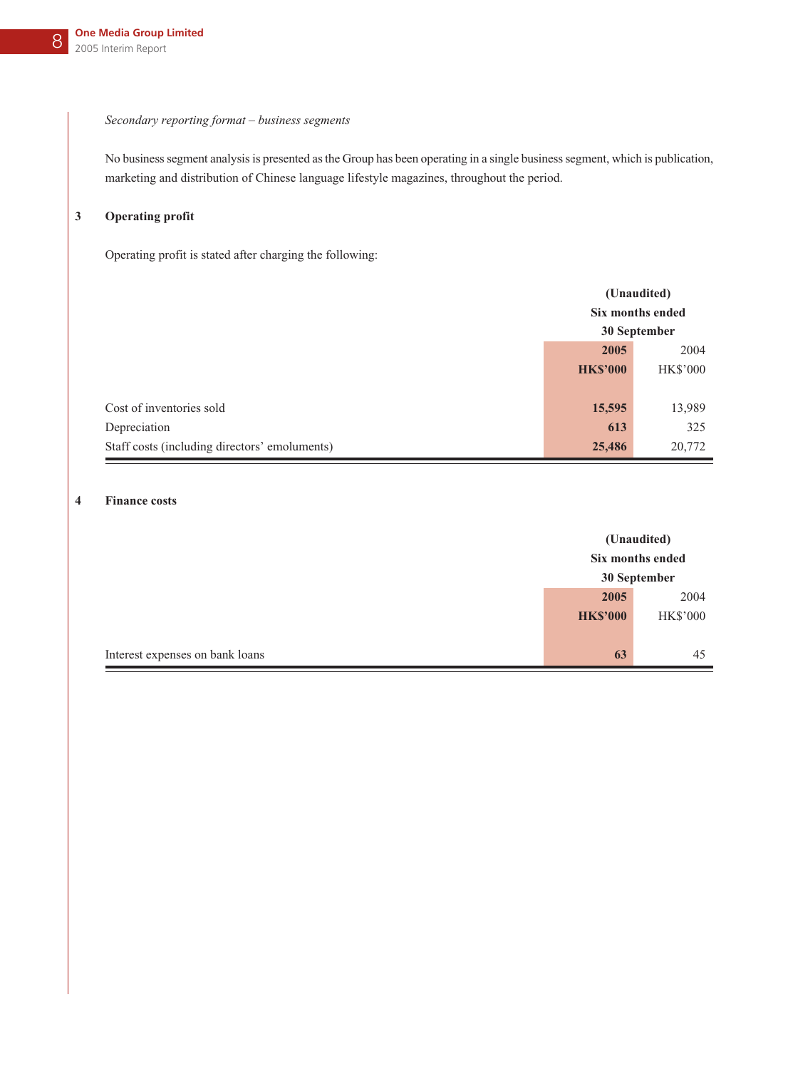### *Secondary reporting format – business segments*

No business segment analysis is presented as the Group has been operating in a single business segment, which is publication, marketing and distribution of Chinese language lifestyle magazines, throughout the period.

## **3 Operating profit**

Operating profit is stated after charging the following:

|                                               | (Unaudited)     |                  |
|-----------------------------------------------|-----------------|------------------|
|                                               |                 | Six months ended |
|                                               |                 | 30 September     |
|                                               | 2005<br>2004    |                  |
|                                               | <b>HK\$'000</b> | <b>HK\$'000</b>  |
|                                               |                 |                  |
| Cost of inventories sold                      | 15,595          | 13,989           |
| Depreciation                                  | 613             | 325              |
| Staff costs (including directors' emoluments) | 25,486          | 20,772           |

### **4 Finance costs**

|                                 |                  | (Unaudited)     |
|---------------------------------|------------------|-----------------|
|                                 | Six months ended |                 |
|                                 | 30 September     |                 |
|                                 | 2005             | 2004            |
|                                 | <b>HK\$'000</b>  | <b>HK\$'000</b> |
|                                 |                  |                 |
| Interest expenses on bank loans | 63               | 45              |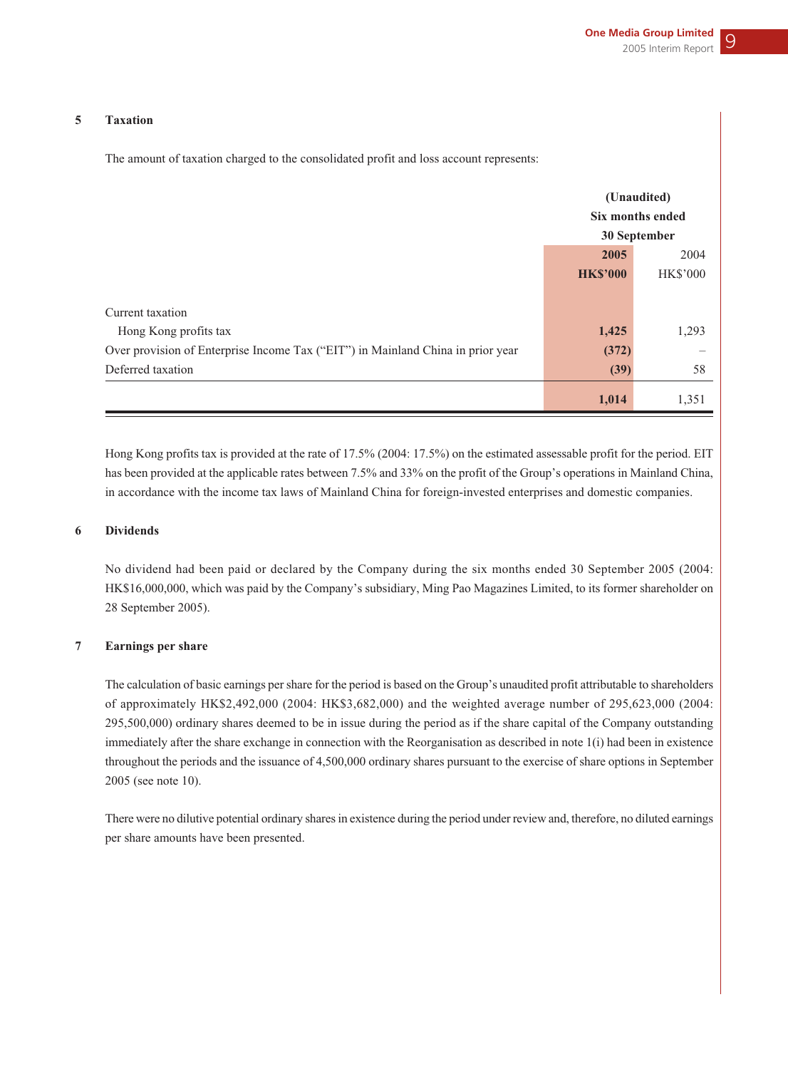#### **5 Taxation**

The amount of taxation charged to the consolidated profit and loss account represents:

|                                                                                 | (Unaudited)      |                 |
|---------------------------------------------------------------------------------|------------------|-----------------|
|                                                                                 | Six months ended |                 |
|                                                                                 |                  | 30 September    |
|                                                                                 | 2005             | 2004            |
|                                                                                 | <b>HK\$'000</b>  | <b>HK\$'000</b> |
|                                                                                 |                  |                 |
| Current taxation                                                                |                  |                 |
| Hong Kong profits tax                                                           | 1,425            | 1,293           |
| Over provision of Enterprise Income Tax ("EIT") in Mainland China in prior year | (372)            |                 |
| Deferred taxation                                                               | (39)             | 58              |
|                                                                                 | 1,014            | 1,351           |

Hong Kong profits tax is provided at the rate of 17.5% (2004: 17.5%) on the estimated assessable profit for the period. EIT has been provided at the applicable rates between 7.5% and 33% on the profit of the Group's operations in Mainland China, in accordance with the income tax laws of Mainland China for foreign-invested enterprises and domestic companies.

#### **6 Dividends**

No dividend had been paid or declared by the Company during the six months ended 30 September 2005 (2004: HK\$16,000,000, which was paid by the Company's subsidiary, Ming Pao Magazines Limited, to its former shareholder on 28 September 2005).

### **7 Earnings per share**

The calculation of basic earnings per share for the period is based on the Group's unaudited profit attributable to shareholders of approximately HK\$2,492,000 (2004: HK\$3,682,000) and the weighted average number of 295,623,000 (2004: 295,500,000) ordinary shares deemed to be in issue during the period as if the share capital of the Company outstanding immediately after the share exchange in connection with the Reorganisation as described in note 1(i) had been in existence throughout the periods and the issuance of 4,500,000 ordinary shares pursuant to the exercise of share options in September 2005 (see note 10).

There were no dilutive potential ordinary shares in existence during the period under review and, therefore, no diluted earnings per share amounts have been presented.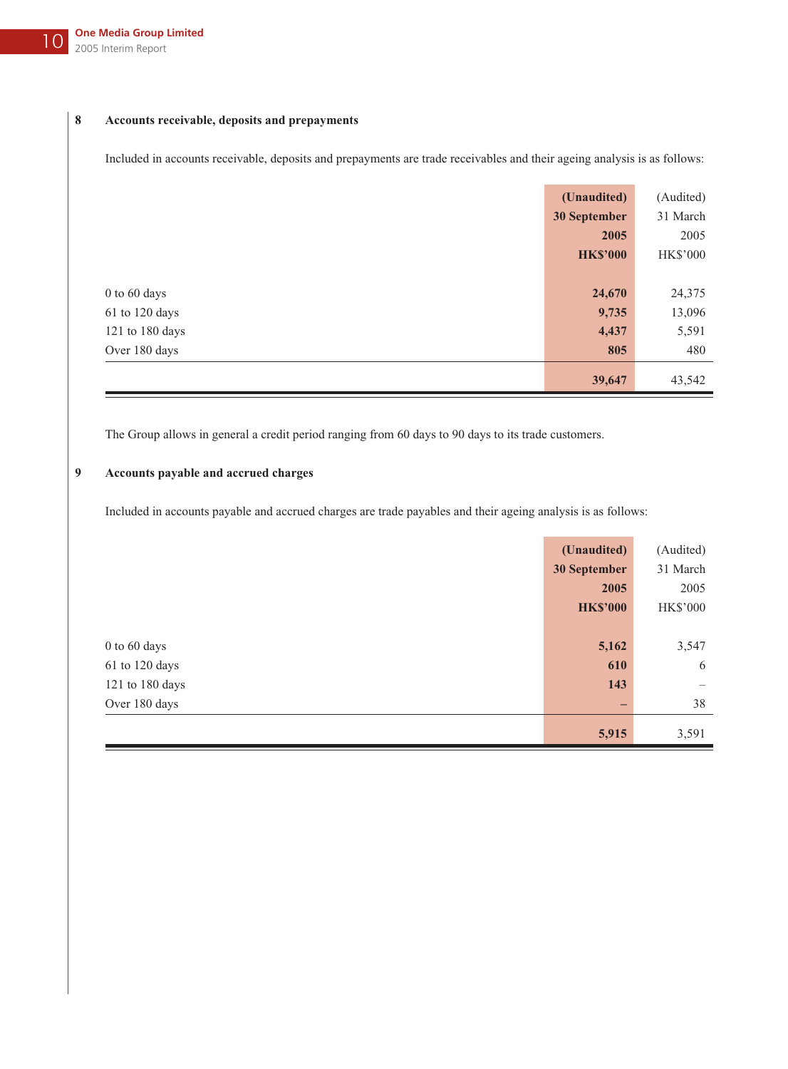## **8 Accounts receivable, deposits and prepayments**

Included in accounts receivable, deposits and prepayments are trade receivables and their ageing analysis is as follows:

|                 | (Unaudited)     | (Audited)       |
|-----------------|-----------------|-----------------|
|                 | 30 September    | 31 March        |
|                 | 2005            | 2005            |
|                 | <b>HK\$'000</b> | <b>HK\$'000</b> |
|                 |                 |                 |
| 0 to 60 days    | 24,670          | 24,375          |
| 61 to 120 days  | 9,735           | 13,096          |
| 121 to 180 days | 4,437           | 5,591           |
| Over 180 days   | 805             | 480             |
|                 | 39,647          | 43,542          |

The Group allows in general a credit period ranging from 60 days to 90 days to its trade customers.

# **9 Accounts payable and accrued charges**

Included in accounts payable and accrued charges are trade payables and their ageing analysis is as follows:

|                 | (Unaudited)              | (Audited)                       |
|-----------------|--------------------------|---------------------------------|
|                 | 30 September             | 31 March                        |
|                 | 2005                     | 2005                            |
|                 | <b>HK\$'000</b>          | <b>HK\$'000</b>                 |
|                 |                          |                                 |
| 0 to 60 days    | 5,162                    | 3,547                           |
| 61 to 120 days  | 610                      | 6                               |
| 121 to 180 days | 143                      | $\hspace{0.1mm}-\hspace{0.1mm}$ |
| Over 180 days   | $\overline{\phantom{0}}$ | 38                              |
|                 | 5,915                    | 3,591                           |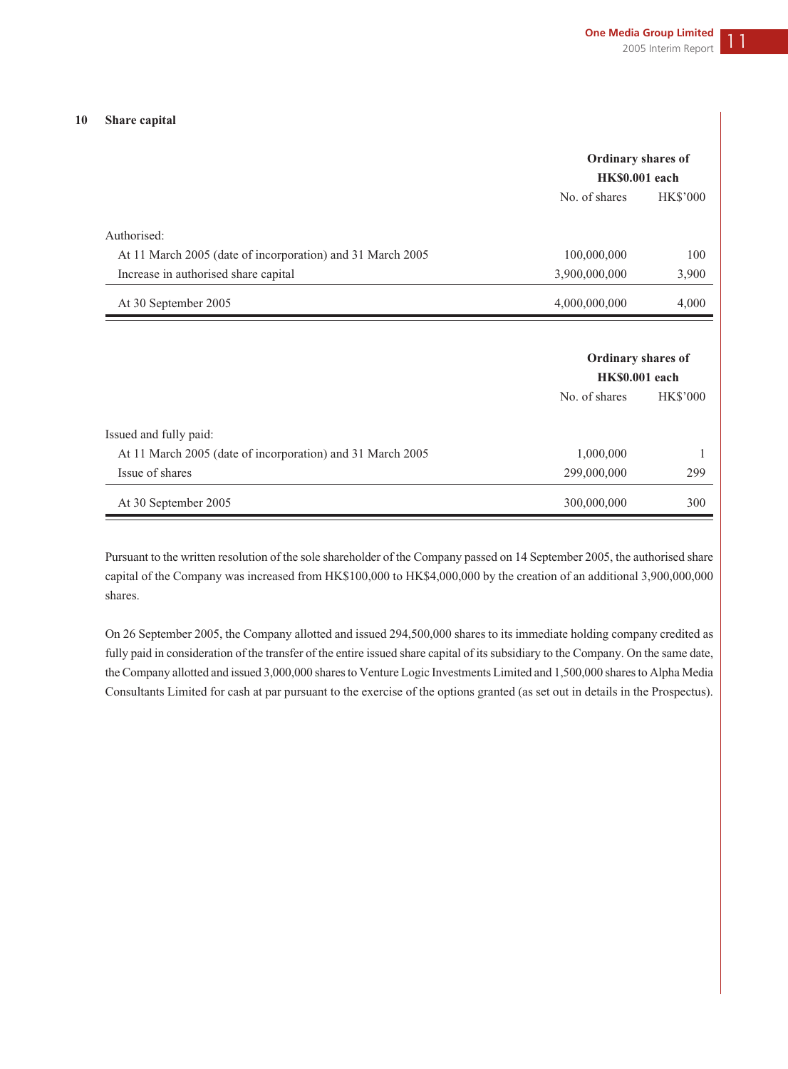#### **10 Share capital**

|                                                            | Ordinary shares of |                 |  |
|------------------------------------------------------------|--------------------|-----------------|--|
|                                                            | HK\$0.001 each     |                 |  |
|                                                            | No. of shares      | <b>HK\$'000</b> |  |
| Authorised:                                                |                    |                 |  |
| At 11 March 2005 (date of incorporation) and 31 March 2005 | 100,000,000        | 100             |  |
| Increase in authorised share capital                       | 3,900,000,000      | 3,900           |  |
| At 30 September 2005                                       | 4,000,000,000      | 4,000           |  |
|                                                            | Ordinary shares of |                 |  |
|                                                            | HK\$0.001 each     |                 |  |
|                                                            | No. of shares      | <b>HK\$'000</b> |  |
| Issued and fully paid:                                     |                    |                 |  |
| At 11 March 2005 (date of incorporation) and 31 March 2005 | 1,000,000          |                 |  |
| Issue of shares                                            | 299,000,000        | 299             |  |
| At 30 September 2005                                       | 300,000,000        | 300             |  |

Pursuant to the written resolution of the sole shareholder of the Company passed on 14 September 2005, the authorised share capital of the Company was increased from HK\$100,000 to HK\$4,000,000 by the creation of an additional 3,900,000,000 shares.

On 26 September 2005, the Company allotted and issued 294,500,000 shares to its immediate holding company credited as fully paid in consideration of the transfer of the entire issued share capital of its subsidiary to the Company. On the same date, the Company allotted and issued 3,000,000 shares to Venture Logic Investments Limited and 1,500,000 shares to Alpha Media Consultants Limited for cash at par pursuant to the exercise of the options granted (as set out in details in the Prospectus).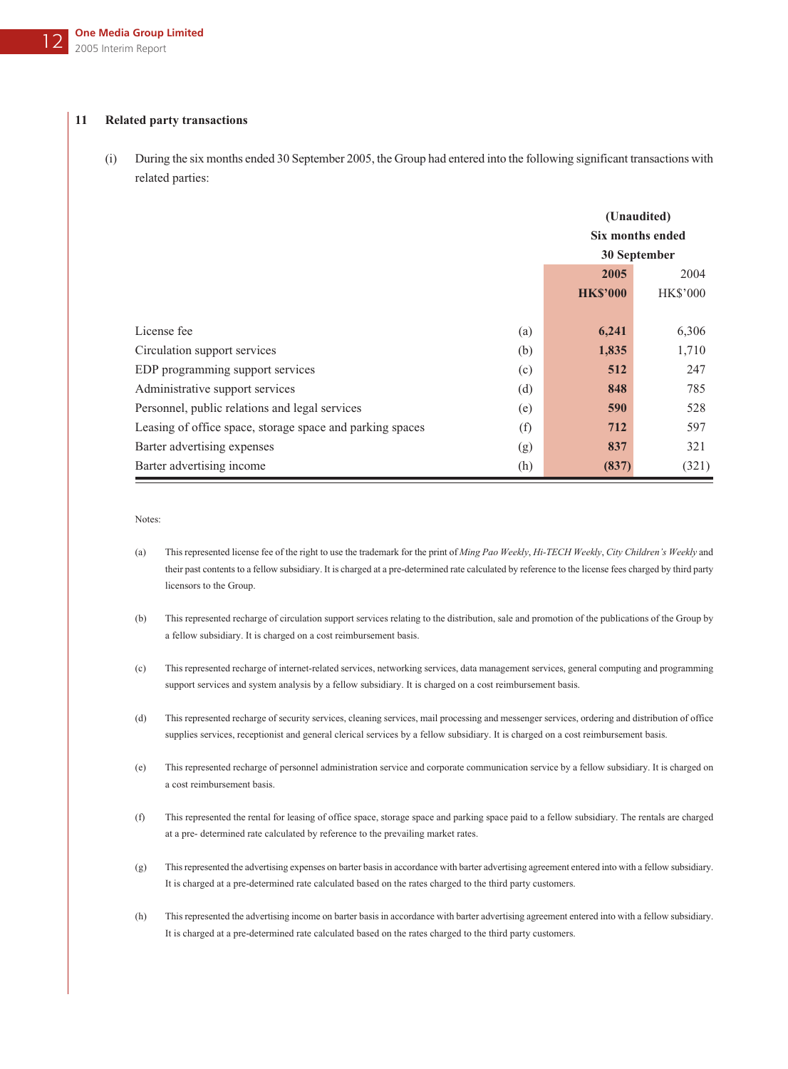### **11 Related party transactions**

(i) During the six months ended 30 September 2005, the Group had entered into the following significant transactions with related parties:

|                                                           |     |                 | (Unaudited)<br>Six months ended<br>30 September |  |
|-----------------------------------------------------------|-----|-----------------|-------------------------------------------------|--|
|                                                           |     | 2005            | 2004                                            |  |
|                                                           |     | <b>HK\$'000</b> | <b>HK\$'000</b>                                 |  |
|                                                           |     |                 |                                                 |  |
| License fee                                               | (a) | 6,241           | 6,306                                           |  |
| Circulation support services                              | (b) | 1,835           | 1,710                                           |  |
| EDP programming support services                          | (c) | 512             | 247                                             |  |
| Administrative support services                           | (d) | 848             | 785                                             |  |
| Personnel, public relations and legal services            | (e) | 590             | 528                                             |  |
| Leasing of office space, storage space and parking spaces | (f) | 712             | 597                                             |  |
| Barter advertising expenses                               | (g) | 837             | 321                                             |  |
| Barter advertising income                                 | (h) | (837)           | (321)                                           |  |

Notes:

- (a) This represented license fee of the right to use the trademark for the print of *Ming Pao Weekly*, *Hi-TECH Weekly*, *City Children's Weekly* and their past contents to a fellow subsidiary. It is charged at a pre-determined rate calculated by reference to the license fees charged by third party licensors to the Group.
- (b) This represented recharge of circulation support services relating to the distribution, sale and promotion of the publications of the Group by a fellow subsidiary. It is charged on a cost reimbursement basis.
- (c) This represented recharge of internet-related services, networking services, data management services, general computing and programming support services and system analysis by a fellow subsidiary. It is charged on a cost reimbursement basis.
- (d) This represented recharge of security services, cleaning services, mail processing and messenger services, ordering and distribution of office supplies services, receptionist and general clerical services by a fellow subsidiary. It is charged on a cost reimbursement basis.
- (e) This represented recharge of personnel administration service and corporate communication service by a fellow subsidiary. It is charged on a cost reimbursement basis.
- (f) This represented the rental for leasing of office space, storage space and parking space paid to a fellow subsidiary. The rentals are charged at a pre- determined rate calculated by reference to the prevailing market rates.
- (g) This represented the advertising expenses on barter basis in accordance with barter advertising agreement entered into with a fellow subsidiary. It is charged at a pre-determined rate calculated based on the rates charged to the third party customers.
- (h) This represented the advertising income on barter basis in accordance with barter advertising agreement entered into with a fellow subsidiary. It is charged at a pre-determined rate calculated based on the rates charged to the third party customers.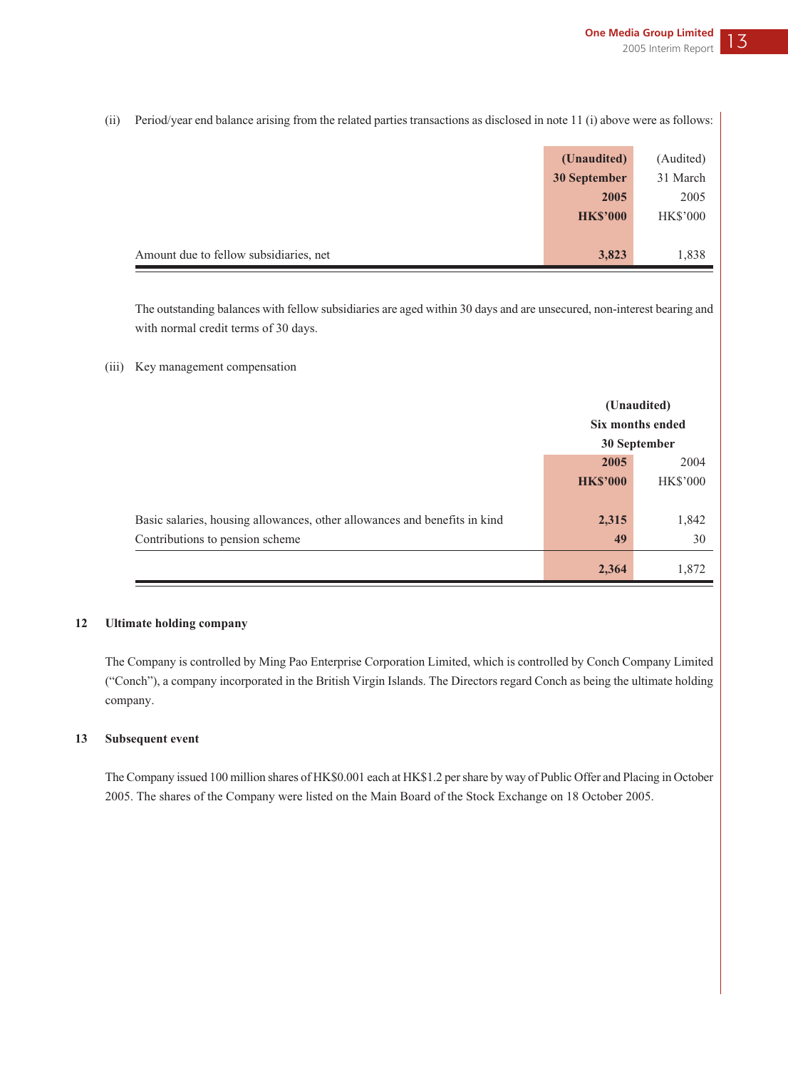(ii) Period/year end balance arising from the related parties transactions as disclosed in note 11 (i) above were as follows:

|                                        | (Unaudited)     | (Audited)       |
|----------------------------------------|-----------------|-----------------|
|                                        | 30 September    | 31 March        |
|                                        | 2005            | 2005            |
|                                        | <b>HK\$'000</b> | <b>HK\$'000</b> |
|                                        |                 |                 |
| Amount due to fellow subsidiaries, net | 3,823           | 1,838           |

The outstanding balances with fellow subsidiaries are aged within 30 days and are unsecured, non-interest bearing and with normal credit terms of 30 days.

<sup>(</sup>iii) Key management compensation

|                                                                                                              | (Unaudited)<br><b>Six months ended</b><br>30 September |             |
|--------------------------------------------------------------------------------------------------------------|--------------------------------------------------------|-------------|
|                                                                                                              | 2005<br>2004<br><b>HK\$'000</b><br><b>HK\$'000</b>     |             |
| Basic salaries, housing allowances, other allowances and benefits in kind<br>Contributions to pension scheme | 2,315<br>49                                            | 1,842<br>30 |
|                                                                                                              | 2,364                                                  | 1,872       |

### **12 Ultimate holding company**

The Company is controlled by Ming Pao Enterprise Corporation Limited, which is controlled by Conch Company Limited ("Conch"), a company incorporated in the British Virgin Islands. The Directors regard Conch as being the ultimate holding company.

### **13 Subsequent event**

The Company issued 100 million shares of HK\$0.001 each at HK\$1.2 per share by way of Public Offer and Placing in October 2005. The shares of the Company were listed on the Main Board of the Stock Exchange on 18 October 2005.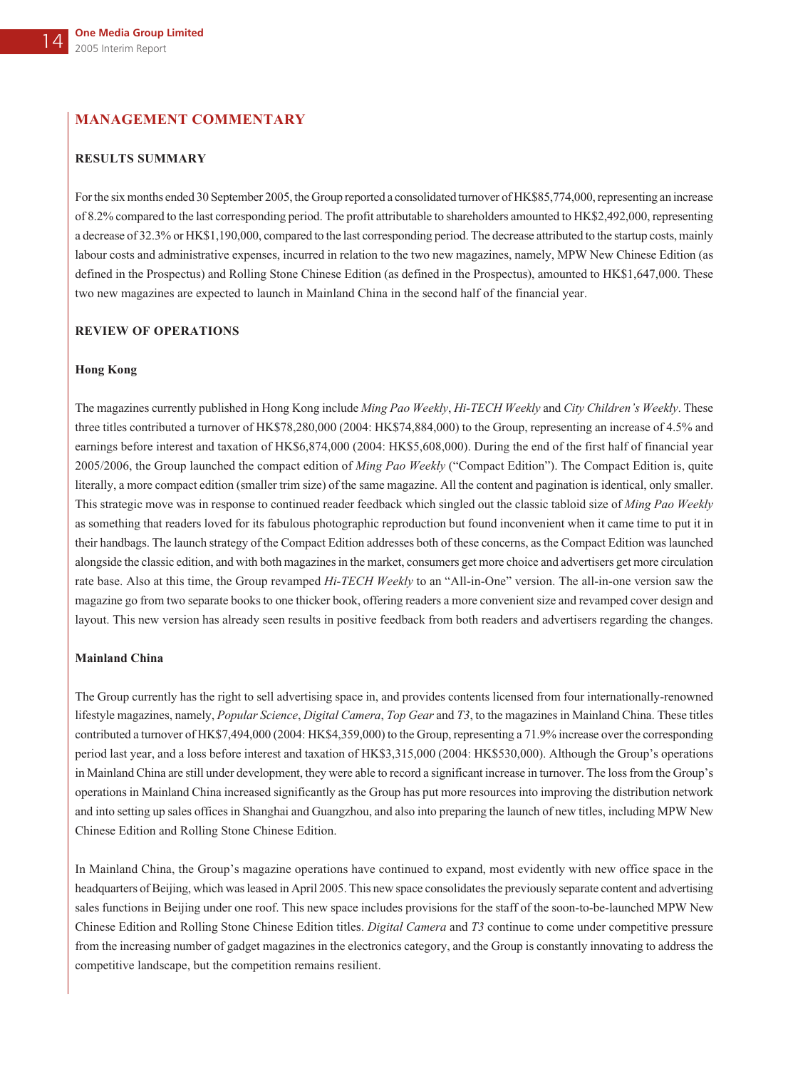## **MANAGEMENT COMMENTARY**

### **RESULTS SUMMARY**

For the six months ended 30 September 2005, the Group reported a consolidated turnover of HK\$85,774,000, representing an increase of 8.2% compared to the last corresponding period. The profit attributable to shareholders amounted to HK\$2,492,000, representing a decrease of 32.3% or HK\$1,190,000, compared to the last corresponding period. The decrease attributed to the startup costs, mainly labour costs and administrative expenses, incurred in relation to the two new magazines, namely, MPW New Chinese Edition (as defined in the Prospectus) and Rolling Stone Chinese Edition (as defined in the Prospectus), amounted to HK\$1,647,000. These two new magazines are expected to launch in Mainland China in the second half of the financial year.

#### **REVIEW OF OPERATIONS**

#### **Hong Kong**

The magazines currently published in Hong Kong include *Ming Pao Weekly*, *Hi-TECH Weekly* and *City Children's Weekly*. These three titles contributed a turnover of HK\$78,280,000 (2004: HK\$74,884,000) to the Group, representing an increase of 4.5% and earnings before interest and taxation of HK\$6,874,000 (2004: HK\$5,608,000). During the end of the first half of financial year 2005/2006, the Group launched the compact edition of *Ming Pao Weekly* ("Compact Edition"). The Compact Edition is, quite literally, a more compact edition (smaller trim size) of the same magazine. All the content and pagination is identical, only smaller. This strategic move was in response to continued reader feedback which singled out the classic tabloid size of *Ming Pao Weekly* as something that readers loved for its fabulous photographic reproduction but found inconvenient when it came time to put it in their handbags. The launch strategy of the Compact Edition addresses both of these concerns, as the Compact Edition was launched alongside the classic edition, and with both magazines in the market, consumers get more choice and advertisers get more circulation rate base. Also at this time, the Group revamped *Hi-TECH Weekly* to an "All-in-One" version. The all-in-one version saw the magazine go from two separate books to one thicker book, offering readers a more convenient size and revamped cover design and layout. This new version has already seen results in positive feedback from both readers and advertisers regarding the changes.

### **Mainland China**

The Group currently has the right to sell advertising space in, and provides contents licensed from four internationally-renowned lifestyle magazines, namely, *Popular Science*, *Digital Camera*, *Top Gear* and *T3*, to the magazines in Mainland China. These titles contributed a turnover of HK\$7,494,000 (2004: HK\$4,359,000) to the Group, representing a 71.9% increase over the corresponding period last year, and a loss before interest and taxation of HK\$3,315,000 (2004: HK\$530,000). Although the Group's operations in Mainland China are still under development, they were able to record a significant increase in turnover. The loss from the Group's operations in Mainland China increased significantly as the Group has put more resources into improving the distribution network and into setting up sales offices in Shanghai and Guangzhou, and also into preparing the launch of new titles, including MPW New Chinese Edition and Rolling Stone Chinese Edition.

In Mainland China, the Group's magazine operations have continued to expand, most evidently with new office space in the headquarters of Beijing, which was leased in April 2005. This new space consolidates the previously separate content and advertising sales functions in Beijing under one roof. This new space includes provisions for the staff of the soon-to-be-launched MPW New Chinese Edition and Rolling Stone Chinese Edition titles. *Digital Camera* and *T3* continue to come under competitive pressure from the increasing number of gadget magazines in the electronics category, and the Group is constantly innovating to address the competitive landscape, but the competition remains resilient.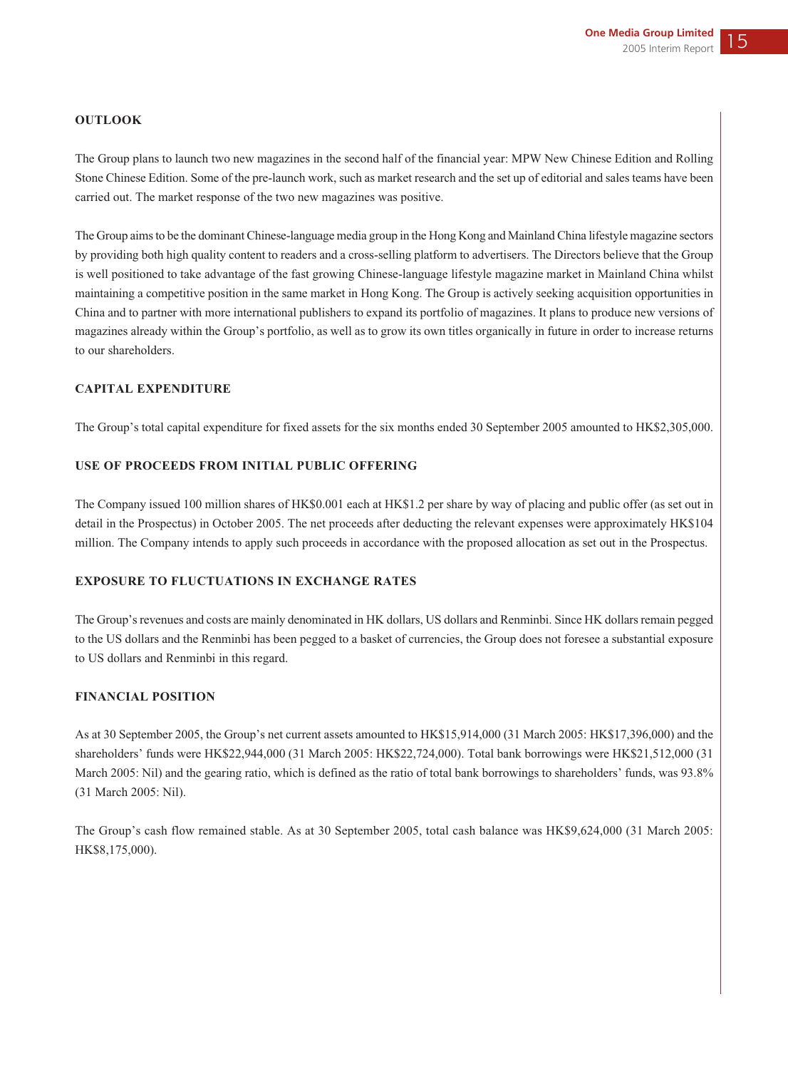### **OUTLOOK**

The Group plans to launch two new magazines in the second half of the financial year: MPW New Chinese Edition and Rolling Stone Chinese Edition. Some of the pre-launch work, such as market research and the set up of editorial and sales teams have been carried out. The market response of the two new magazines was positive.

The Group aims to be the dominant Chinese-language media group in the Hong Kong and Mainland China lifestyle magazine sectors by providing both high quality content to readers and a cross-selling platform to advertisers. The Directors believe that the Group is well positioned to take advantage of the fast growing Chinese-language lifestyle magazine market in Mainland China whilst maintaining a competitive position in the same market in Hong Kong. The Group is actively seeking acquisition opportunities in China and to partner with more international publishers to expand its portfolio of magazines. It plans to produce new versions of magazines already within the Group's portfolio, as well as to grow its own titles organically in future in order to increase returns to our shareholders.

### **CAPITAL EXPENDITURE**

The Group's total capital expenditure for fixed assets for the six months ended 30 September 2005 amounted to HK\$2,305,000.

## **USE OF PROCEEDS FROM INITIAL PUBLIC OFFERING**

The Company issued 100 million shares of HK\$0.001 each at HK\$1.2 per share by way of placing and public offer (as set out in detail in the Prospectus) in October 2005. The net proceeds after deducting the relevant expenses were approximately HK\$104 million. The Company intends to apply such proceeds in accordance with the proposed allocation as set out in the Prospectus.

## **EXPOSURE TO FLUCTUATIONS IN EXCHANGE RATES**

The Group's revenues and costs are mainly denominated in HK dollars, US dollars and Renminbi. Since HK dollars remain pegged to the US dollars and the Renminbi has been pegged to a basket of currencies, the Group does not foresee a substantial exposure to US dollars and Renminbi in this regard.

### **FINANCIAL POSITION**

As at 30 September 2005, the Group's net current assets amounted to HK\$15,914,000 (31 March 2005: HK\$17,396,000) and the shareholders' funds were HK\$22,944,000 (31 March 2005: HK\$22,724,000). Total bank borrowings were HK\$21,512,000 (31 March 2005: Nil) and the gearing ratio, which is defined as the ratio of total bank borrowings to shareholders' funds, was 93.8% (31 March 2005: Nil).

The Group's cash flow remained stable. As at 30 September 2005, total cash balance was HK\$9,624,000 (31 March 2005: HK\$8,175,000).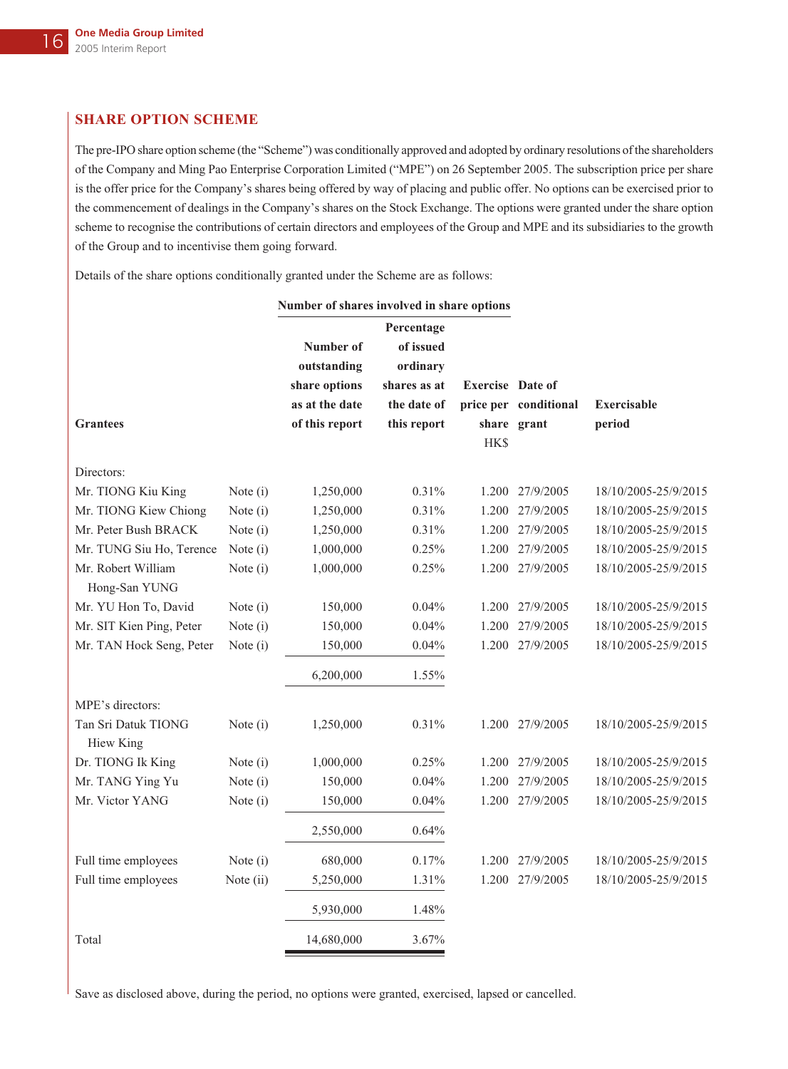# **SHARE OPTION SCHEME**

The pre-IPO share option scheme (the "Scheme") was conditionally approved and adopted by ordinary resolutions of the shareholders of the Company and Ming Pao Enterprise Corporation Limited ("MPE") on 26 September 2005. The subscription price per share is the offer price for the Company's shares being offered by way of placing and public offer. No options can be exercised prior to the commencement of dealings in the Company's shares on the Stock Exchange. The options were granted under the share option scheme to recognise the contributions of certain directors and employees of the Group and MPE and its subsidiaries to the growth of the Group and to incentivise them going forward.

Details of the share options conditionally granted under the Scheme are as follows:

|                                               |                        | Number of shares involved in share options                  |                                                                    |                         |                        |                                              |
|-----------------------------------------------|------------------------|-------------------------------------------------------------|--------------------------------------------------------------------|-------------------------|------------------------|----------------------------------------------|
|                                               |                        | Number of<br>outstanding<br>share options<br>as at the date | Percentage<br>of issued<br>ordinary<br>shares as at<br>the date of | <b>Exercise</b> Date of | price per conditional  | <b>Exercisable</b>                           |
| <b>Grantees</b>                               |                        | of this report                                              | this report                                                        | <b>HK\$</b>             | share grant            | period                                       |
|                                               |                        |                                                             |                                                                    |                         |                        |                                              |
| Directors:                                    |                        |                                                             |                                                                    |                         |                        |                                              |
| Mr. TIONG Kiu King                            | Note $(i)$             | 1,250,000                                                   | 0.31%                                                              |                         | 1.200 27/9/2005        | 18/10/2005-25/9/2015                         |
| Mr. TIONG Kiew Chiong<br>Mr. Peter Bush BRACK | Note (i)               | 1,250,000                                                   | 0.31%<br>0.31%                                                     | 1.200<br>1.200          | 27/9/2005<br>27/9/2005 | 18/10/2005-25/9/2015<br>18/10/2005-25/9/2015 |
| Mr. TUNG Siu Ho, Terence                      | Note (i)<br>Note $(i)$ | 1,250,000<br>1,000,000                                      | 0.25%                                                              |                         | 1.200 27/9/2005        | 18/10/2005-25/9/2015                         |
| Mr. Robert William                            | Note $(i)$             | 1,000,000                                                   | 0.25%                                                              |                         | 1.200 27/9/2005        | 18/10/2005-25/9/2015                         |
| Hong-San YUNG                                 |                        |                                                             |                                                                    |                         |                        |                                              |
| Mr. YU Hon To, David                          | Note (i)               | 150,000                                                     | 0.04%                                                              | 1.200                   | 27/9/2005              | 18/10/2005-25/9/2015                         |
| Mr. SIT Kien Ping, Peter                      | Note (i)               | 150,000                                                     | 0.04%                                                              | 1.200                   | 27/9/2005              | 18/10/2005-25/9/2015                         |
| Mr. TAN Hock Seng, Peter                      | Note (i)               | 150,000                                                     | 0.04%                                                              |                         | 1.200 27/9/2005        | 18/10/2005-25/9/2015                         |
|                                               |                        | 6,200,000                                                   | 1.55%                                                              |                         |                        |                                              |
| MPE's directors:                              |                        |                                                             |                                                                    |                         |                        |                                              |
| Tan Sri Datuk TIONG<br><b>Hiew King</b>       | Note (i)               | 1,250,000                                                   | 0.31%                                                              |                         | 1.200 27/9/2005        | 18/10/2005-25/9/2015                         |
| Dr. TIONG Ik King                             | Note $(i)$             | 1,000,000                                                   | 0.25%                                                              |                         | 1.200 27/9/2005        | 18/10/2005-25/9/2015                         |
| Mr. TANG Ying Yu                              | Note (i)               | 150,000                                                     | 0.04%                                                              |                         | 1.200 27/9/2005        | 18/10/2005-25/9/2015                         |
| Mr. Victor YANG                               | Note (i)               | 150,000                                                     | 0.04%                                                              |                         | 1.200 27/9/2005        | 18/10/2005-25/9/2015                         |
|                                               |                        | 2,550,000                                                   | 0.64%                                                              |                         |                        |                                              |
| Full time employees                           | Note (i)               | 680,000                                                     | 0.17%                                                              | 1.200                   | 27/9/2005              | 18/10/2005-25/9/2015                         |
| Full time employees                           | Note (ii)              | 5,250,000                                                   | 1.31%                                                              |                         | 1.200 27/9/2005        | 18/10/2005-25/9/2015                         |
|                                               |                        | 5,930,000                                                   | 1.48%                                                              |                         |                        |                                              |
| Total                                         |                        | 14,680,000                                                  | 3.67%                                                              |                         |                        |                                              |

Save as disclosed above, during the period, no options were granted, exercised, lapsed or cancelled.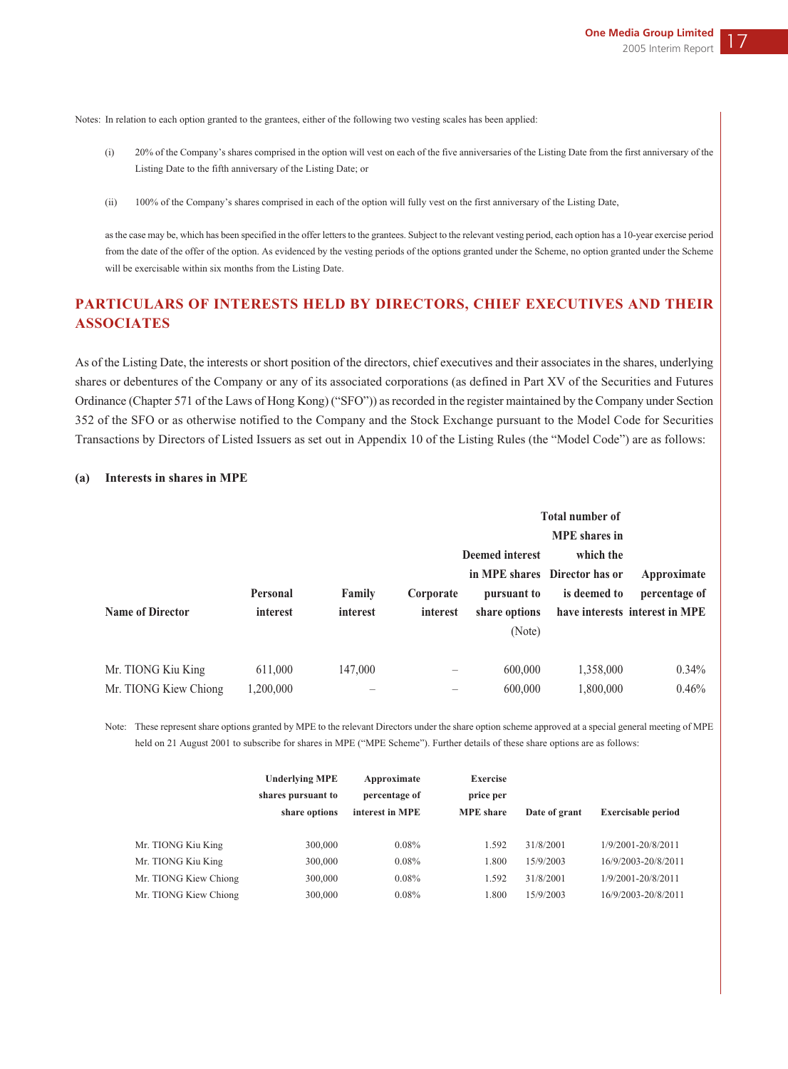Notes: In relation to each option granted to the grantees, either of the following two vesting scales has been applied:

- (i) 20% of the Company's shares comprised in the option will vest on each of the five anniversaries of the Listing Date from the first anniversary of the Listing Date to the fifth anniversary of the Listing Date; or
- (ii) 100% of the Company's shares comprised in each of the option will fully vest on the first anniversary of the Listing Date,

as the case may be, which has been specified in the offer letters to the grantees. Subject to the relevant vesting period, each option has a 10-year exercise period from the date of the offer of the option. As evidenced by the vesting periods of the options granted under the Scheme, no option granted under the Scheme will be exercisable within six months from the Listing Date.

# **PARTICULARS OF INTERESTS HELD BY DIRECTORS, CHIEF EXECUTIVES AND THEIR ASSOCIATES**

As of the Listing Date, the interests or short position of the directors, chief executives and their associates in the shares, underlying shares or debentures of the Company or any of its associated corporations (as defined in Part XV of the Securities and Futures Ordinance (Chapter 571 of the Laws of Hong Kong) ("SFO")) as recorded in the register maintained by the Company under Section 352 of the SFO or as otherwise notified to the Company and the Stock Exchange pursuant to the Model Code for Securities Transactions by Directors of Listed Issuers as set out in Appendix 10 of the Listing Rules (the "Model Code") are as follows:

|                         |                 |          |           | <b>Total number of</b> |                               |                                |
|-------------------------|-----------------|----------|-----------|------------------------|-------------------------------|--------------------------------|
|                         |                 |          |           | <b>Deemed interest</b> | which the                     |                                |
|                         |                 |          |           |                        | in MPE shares Director has or | Approximate                    |
|                         | <b>Personal</b> | Family   | Corporate | pursuant to            | is deemed to                  | percentage of                  |
| <b>Name of Director</b> | interest        | interest | interest  | share options          |                               | have interests interest in MPE |
|                         |                 |          |           | (Note)                 |                               |                                |
|                         |                 |          |           |                        |                               |                                |
| Mr. TIONG Kiu King      | 611,000         | 147,000  |           | 600,000                | 1,358,000                     | $0.34\%$                       |
| Mr. TIONG Kiew Chiong   | 1,200,000       |          |           | 600,000                | 1,800,000                     | $0.46\%$                       |

#### **(a) Interests in shares in MPE**

Note: These represent share options granted by MPE to the relevant Directors under the share option scheme approved at a special general meeting of MPE held on 21 August 2001 to subscribe for shares in MPE ("MPE Scheme"). Further details of these share options are as follows:

|                       | <b>Underlying MPE</b><br>shares pursuant to<br>share options | Approximate<br>percentage of<br>interest in MPE | <b>Exercise</b><br>price per<br><b>MPE</b> share | Date of grant | <b>Exercisable period</b> |
|-----------------------|--------------------------------------------------------------|-------------------------------------------------|--------------------------------------------------|---------------|---------------------------|
| Mr. TIONG Kiu King    | 300,000                                                      | 0.08%                                           | 1.592                                            | 31/8/2001     | 1/9/2001-20/8/2011        |
| Mr. TIONG Kiu King    | 300,000                                                      | 0.08%                                           | 1.800                                            | 15/9/2003     | 16/9/2003-20/8/2011       |
| Mr. TIONG Kiew Chiong | 300,000                                                      | 0.08%                                           | 1.592                                            | 31/8/2001     | 1/9/2001-20/8/2011        |
| Mr. TIONG Kiew Chiong | 300,000                                                      | $0.08\%$                                        | 1.800                                            | 15/9/2003     | 16/9/2003-20/8/2011       |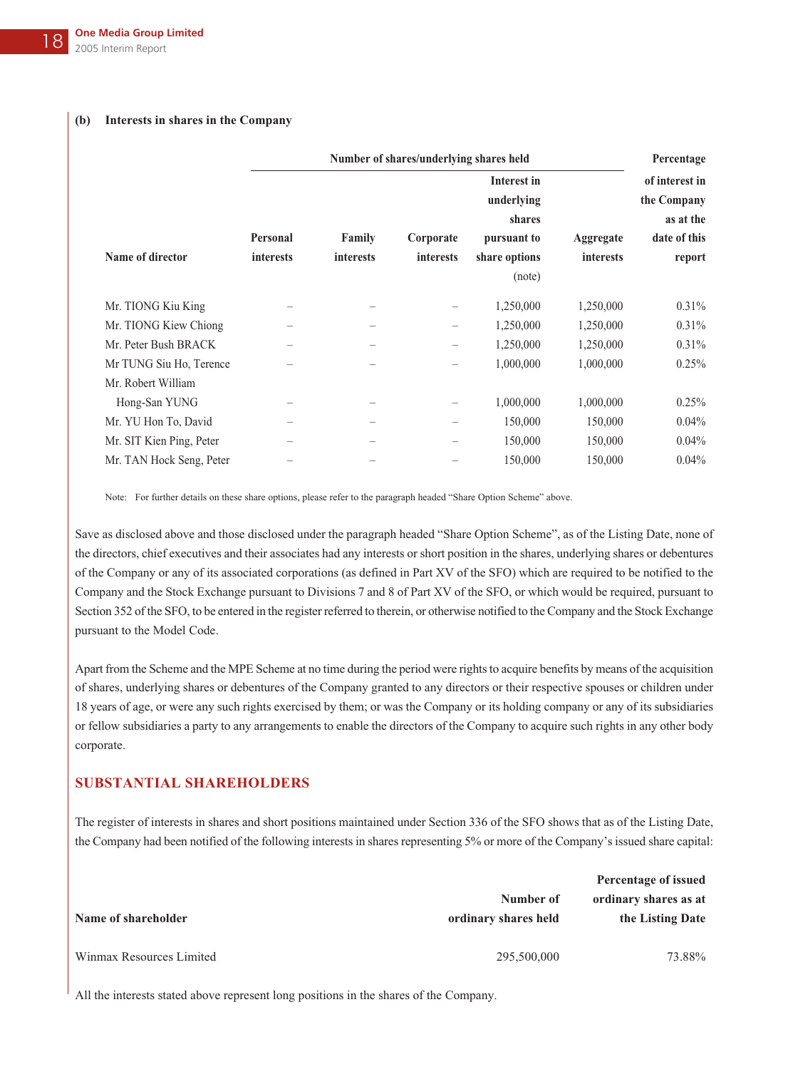#### **(b) Interests in shares in the Company**

|                          | Number of shares/underlying shares held |                  |           |                    |           | Percentage     |  |
|--------------------------|-----------------------------------------|------------------|-----------|--------------------|-----------|----------------|--|
|                          |                                         |                  |           | <b>Interest in</b> |           | of interest in |  |
|                          |                                         |                  |           | underlying         |           | the Company    |  |
|                          |                                         |                  |           | shares             |           | as at the      |  |
|                          | Personal                                | Family           | Corporate | pursuant to        | Aggregate | date of this   |  |
| Name of director         | <b>interests</b>                        | <i>interests</i> | interests | share options      | interests | report         |  |
|                          |                                         |                  |           | (note)             |           |                |  |
| Mr. TIONG Kiu King       |                                         |                  |           | 1,250,000          | 1,250,000 | $0.31\%$       |  |
| Mr. TIONG Kiew Chiong    |                                         |                  |           | 1,250,000          | 1,250,000 | 0.31%          |  |
| Mr. Peter Bush BRACK     |                                         |                  | -         | 1,250,000          | 1,250,000 | 0.31%          |  |
| Mr TUNG Siu Ho, Terence  |                                         |                  |           | 1,000,000          | 1,000,000 | $0.25\%$       |  |
| Mr. Robert William       |                                         |                  |           |                    |           |                |  |
| Hong-San YUNG            |                                         |                  |           | 1,000,000          | 1,000,000 | 0.25%          |  |
| Mr. YU Hon To, David     |                                         |                  |           | 150,000            | 150,000   | 0.04%          |  |
| Mr. SIT Kien Ping, Peter |                                         |                  |           | 150,000            | 150,000   | 0.04%          |  |
| Mr. TAN Hock Seng, Peter |                                         |                  |           | 150,000            | 150,000   | $0.04\%$       |  |
|                          |                                         |                  |           |                    |           |                |  |

Note: For further details on these share options, please refer to the paragraph headed "Share Option Scheme" above.

Save as disclosed above and those disclosed under the paragraph headed "Share Option Scheme", as of the Listing Date, none of the directors, chief executives and their associates had any interests or short position in the shares, underlying shares or debentures of the Company or any of its associated corporations (as defined in Part XV of the SFO) which are required to be notified to the Company and the Stock Exchange pursuant to Divisions 7 and 8 of Part XV of the SFO, or which would be required, pursuant to Section 352 of the SFO, to be entered in the register referred to therein, or otherwise notified to the Company and the Stock Exchange pursuant to the Model Code.

Apart from the Scheme and the MPE Scheme at no time during the period were rights to acquire benefits by means of the acquisition of shares, underlying shares or debentures of the Company granted to any directors or their respective spouses or children under 18 years of age, or were any such rights exercised by them; or was the Company or its holding company or any of its subsidiaries or fellow subsidiaries a party to any arrangements to enable the directors of the Company to acquire such rights in any other body corporate.

## **SUBSTANTIAL SHAREHOLDERS**

The register of interests in shares and short positions maintained under Section 336 of the SFO shows that as of the Listing Date, the Company had been notified of the following interests in shares representing 5% or more of the Company's issued share capital:

|                          |                      | Percentage of issued  |
|--------------------------|----------------------|-----------------------|
|                          | Number of            | ordinary shares as at |
| Name of shareholder      | ordinary shares held | the Listing Date      |
| Winmax Resources Limited | 295,500,000          | 73.88%                |

All the interests stated above represent long positions in the shares of the Company.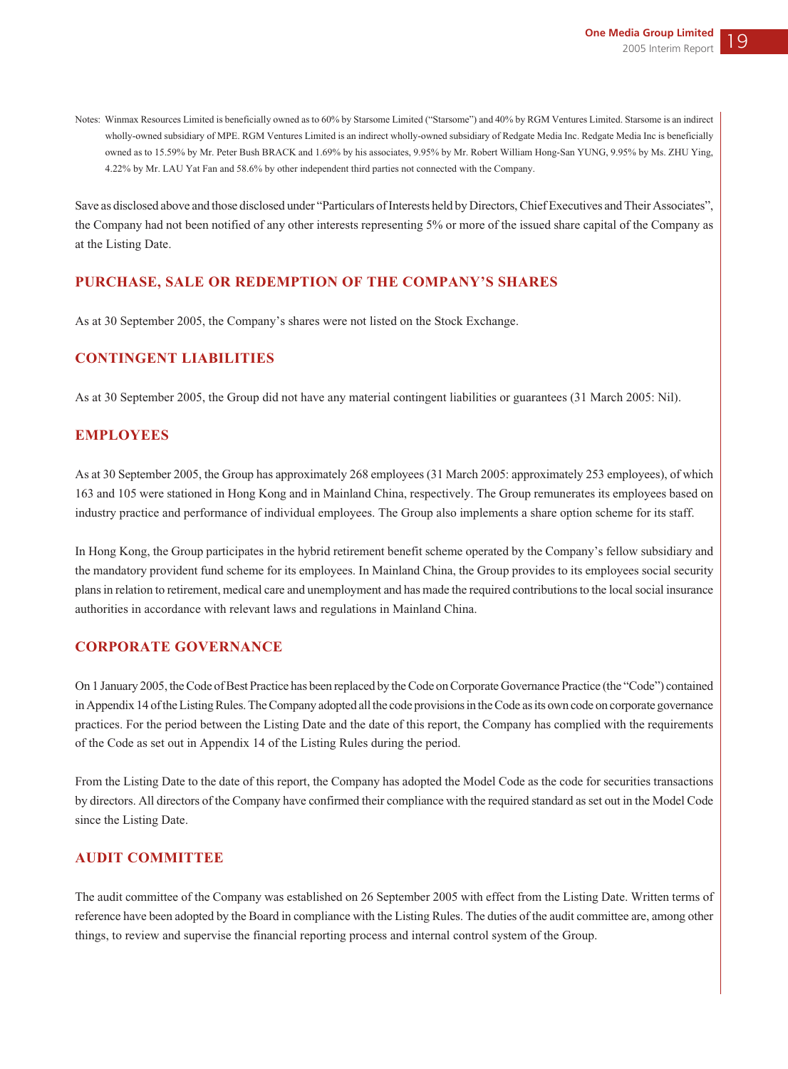Notes: Winmax Resources Limited is beneficially owned as to 60% by Starsome Limited ("Starsome") and 40% by RGM Ventures Limited. Starsome is an indirect wholly-owned subsidiary of MPE. RGM Ventures Limited is an indirect wholly-owned subsidiary of Redgate Media Inc. Redgate Media Inc is beneficially owned as to 15.59% by Mr. Peter Bush BRACK and 1.69% by his associates, 9.95% by Mr. Robert William Hong-San YUNG, 9.95% by Ms. ZHU Ying, 4.22% by Mr. LAU Yat Fan and 58.6% by other independent third parties not connected with the Company.

Save as disclosed above and those disclosed under "Particulars of Interests held by Directors, Chief Executives and Their Associates", the Company had not been notified of any other interests representing 5% or more of the issued share capital of the Company as at the Listing Date.

## **PURCHASE, SALE OR REDEMPTION OF THE COMPANY'S SHARES**

As at 30 September 2005, the Company's shares were not listed on the Stock Exchange.

## **CONTINGENT LIABILITIES**

As at 30 September 2005, the Group did not have any material contingent liabilities or guarantees (31 March 2005: Nil).

## **EMPLOYEES**

As at 30 September 2005, the Group has approximately 268 employees (31 March 2005: approximately 253 employees), of which 163 and 105 were stationed in Hong Kong and in Mainland China, respectively. The Group remunerates its employees based on industry practice and performance of individual employees. The Group also implements a share option scheme for its staff.

In Hong Kong, the Group participates in the hybrid retirement benefit scheme operated by the Company's fellow subsidiary and the mandatory provident fund scheme for its employees. In Mainland China, the Group provides to its employees social security plans in relation to retirement, medical care and unemployment and has made the required contributions to the local social insurance authorities in accordance with relevant laws and regulations in Mainland China.

## **CORPORATE GOVERNANCE**

On 1 January 2005, the Code of Best Practice has been replaced by the Code on Corporate Governance Practice (the "Code") contained in Appendix 14 of the Listing Rules. The Company adopted all the code provisions in the Code as its own code on corporate governance practices. For the period between the Listing Date and the date of this report, the Company has complied with the requirements of the Code as set out in Appendix 14 of the Listing Rules during the period.

From the Listing Date to the date of this report, the Company has adopted the Model Code as the code for securities transactions by directors. All directors of the Company have confirmed their compliance with the required standard as set out in the Model Code since the Listing Date.

## **AUDIT COMMITTEE**

The audit committee of the Company was established on 26 September 2005 with effect from the Listing Date. Written terms of reference have been adopted by the Board in compliance with the Listing Rules. The duties of the audit committee are, among other things, to review and supervise the financial reporting process and internal control system of the Group.